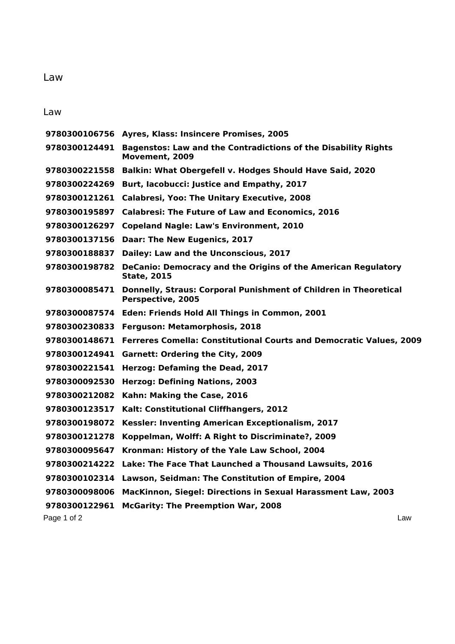## Law

Law

|               | 9780300106756 Ayres, Klass: Insincere Promises, 2005                                                |  |
|---------------|-----------------------------------------------------------------------------------------------------|--|
| 9780300124491 | <b>Bagenstos: Law and the Contradictions of the Disability Rights</b><br>Movement, 2009             |  |
| 9780300221558 | <b>Balkin: What Obergefell v. Hodges Should Have Said, 2020</b>                                     |  |
| 9780300224269 | Burt, Iacobucci: Justice and Empathy, 2017                                                          |  |
| 9780300121261 | <b>Calabresi, Yoo: The Unitary Executive, 2008</b>                                                  |  |
| 9780300195897 | <b>Calabresi: The Future of Law and Economics, 2016</b>                                             |  |
| 9780300126297 | <b>Copeland Nagle: Law's Environment, 2010</b>                                                      |  |
| 9780300137156 | Daar: The New Eugenics, 2017                                                                        |  |
| 9780300188837 | Dailey: Law and the Unconscious, 2017                                                               |  |
| 9780300198782 | <b>DeCanio: Democracy and the Origins of the American Regulatory</b><br><b>State, 2015</b>          |  |
|               | 9780300085471 Donnelly, Straus: Corporal Punishment of Children in Theoretical<br>Perspective, 2005 |  |
|               | 9780300087574 Eden: Friends Hold All Things in Common, 2001                                         |  |
|               | 9780300230833 Ferguson: Metamorphosis, 2018                                                         |  |
| 9780300148671 | Ferreres Comella: Constitutional Courts and Democratic Values, 2009                                 |  |
| 9780300124941 | <b>Garnett: Ordering the City, 2009</b>                                                             |  |
| 9780300221541 | Herzog: Defaming the Dead, 2017                                                                     |  |
| 9780300092530 | <b>Herzog: Defining Nations, 2003</b>                                                               |  |
| 9780300212082 | Kahn: Making the Case, 2016                                                                         |  |
| 9780300123517 | Kalt: Constitutional Cliffhangers, 2012                                                             |  |
| 9780300198072 | Kessler: Inventing American Exceptionalism, 2017                                                    |  |
| 9780300121278 | Koppelman, Wolff: A Right to Discriminate?, 2009                                                    |  |
| 9780300095647 | Kronman: History of the Yale Law School, 2004                                                       |  |
| 9780300214222 | Lake: The Face That Launched a Thousand Lawsuits, 2016                                              |  |
| 9780300102314 | Lawson, Seidman: The Constitution of Empire, 2004                                                   |  |
| 9780300098006 | MacKinnon, Siegel: Directions in Sexual Harassment Law, 2003                                        |  |
| 9780300122961 | <b>McGarity: The Preemption War, 2008</b>                                                           |  |
| Page 1 of 2   | Law                                                                                                 |  |